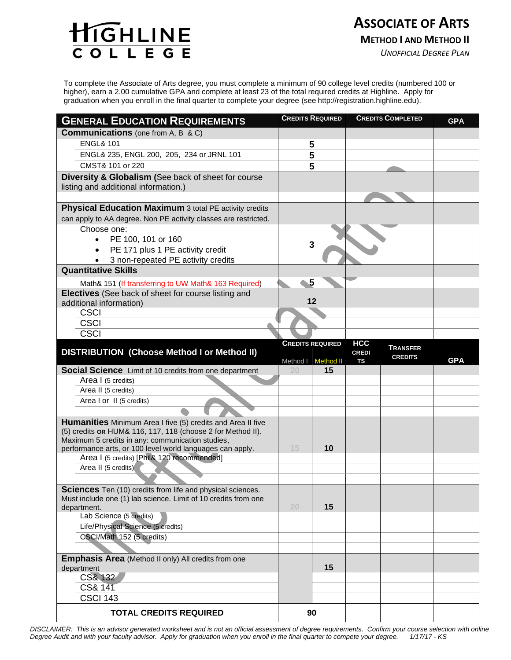

# **ASSOCIATE OF ARTS**

*UNOFFICIAL DEGREE PLAN*

To complete the Associate of Arts degree, you must complete a minimum of 90 college level credits (numbered 100 or higher), earn a 2.00 cumulative GPA and complete at least 23 of the total required credits at Highline. Apply for graduation when you enroll in the final quarter to complete your degree (see http://registration.highline.edu).

| <b>GENERAL EDUCATION REQUIREMENTS</b>                                                                                             |    | <b>CREDITS REQUIRED</b> |              | <b>CREDITS COMPLETED</b>          | <b>GPA</b> |
|-----------------------------------------------------------------------------------------------------------------------------------|----|-------------------------|--------------|-----------------------------------|------------|
| <b>Communications</b> (one from A, B & C)                                                                                         |    |                         |              |                                   |            |
| <b>ENGL&amp; 101</b>                                                                                                              | 5  |                         |              |                                   |            |
| ENGL& 235, ENGL 200, 205, 234 or JRNL 101                                                                                         | 5  |                         |              |                                   |            |
| CMST& 101 or 220                                                                                                                  | 5  |                         |              |                                   |            |
| Diversity & Globalism (See back of sheet for course                                                                               |    |                         |              |                                   |            |
| listing and additional information.)                                                                                              |    |                         |              |                                   |            |
|                                                                                                                                   |    |                         |              |                                   |            |
| Physical Education Maximum 3 total PE activity credits                                                                            |    |                         |              |                                   |            |
| can apply to AA degree. Non PE activity classes are restricted.                                                                   |    |                         |              |                                   |            |
| Choose one:                                                                                                                       |    |                         |              |                                   |            |
| PE 100, 101 or 160<br>$\bullet$                                                                                                   |    |                         |              |                                   |            |
| PE 171 plus 1 PE activity credit<br>$\bullet$                                                                                     |    | 3                       |              |                                   |            |
| 3 non-repeated PE activity credits<br>$\bullet$                                                                                   |    |                         |              |                                   |            |
| <b>Quantitative Skills</b>                                                                                                        |    |                         |              |                                   |            |
| Math& 151 (If transferring to UW Math& 163 Required)                                                                              |    | 5                       |              |                                   |            |
| Electives (See back of sheet for course listing and                                                                               |    |                         |              |                                   |            |
| additional information)                                                                                                           |    | 12                      |              |                                   |            |
| <b>CSCI</b>                                                                                                                       |    |                         |              |                                   |            |
| <b>CSCI</b>                                                                                                                       |    |                         |              |                                   |            |
| <b>CSCI</b>                                                                                                                       |    |                         |              |                                   |            |
|                                                                                                                                   |    | <b>CREDITS REQUIRED</b> | <b>HCC</b>   |                                   |            |
| DISTRIBUTION (Choose Method I or Method II)                                                                                       |    |                         | <b>CREDI</b> | <b>TRANSFER</b><br><b>CREDITS</b> |            |
|                                                                                                                                   |    | Method I Method II      | <b>TS</b>    |                                   | <b>GPA</b> |
| <b>Social Science</b> Limit of 10 credits from one department                                                                     | 20 | 15                      |              |                                   |            |
| Area I (5 credits)                                                                                                                |    |                         |              |                                   |            |
| Area II (5 credits)                                                                                                               |    |                         |              |                                   |            |
| Area I or II (5 credits)                                                                                                          |    |                         |              |                                   |            |
|                                                                                                                                   |    |                         |              |                                   |            |
| <b>Humanities</b> Minimum Area I five (5) credits and Area II five<br>(5) credits or HUM& 116, 117, 118 (choose 2 for Method II). |    |                         |              |                                   |            |
| Maximum 5 credits in any: communication studies,                                                                                  |    |                         |              |                                   |            |
| performance arts, or 100 level world languages can apply.                                                                         | 15 | 10                      |              |                                   |            |
| Area I (5 credits) [Phil& 120 recommended]                                                                                        |    |                         |              |                                   |            |
| Area II (5 credits)                                                                                                               |    |                         |              |                                   |            |
|                                                                                                                                   |    |                         |              |                                   |            |
| Sciences Ten (10) credits from life and physical sciences.                                                                        |    |                         |              |                                   |            |
| Must include one (1) lab science. Limit of 10 credits from one                                                                    |    |                         |              |                                   |            |
| department.                                                                                                                       | 20 | 15                      |              |                                   |            |
| Lab Science (5 credits)                                                                                                           |    |                         |              |                                   |            |
| Life/Physical Science (5 credits)                                                                                                 |    |                         |              |                                   |            |
| CSCI/Math 152 (5 credits)                                                                                                         |    |                         |              |                                   |            |
|                                                                                                                                   |    |                         |              |                                   |            |
| <b>Emphasis Area</b> (Method II only) All credits from one                                                                        |    |                         |              |                                   |            |
| department                                                                                                                        |    | 15                      |              |                                   |            |
| <b>CS&amp; 132</b>                                                                                                                |    |                         |              |                                   |            |
| CS& 141                                                                                                                           |    |                         |              |                                   |            |
| <b>CSCI 143</b>                                                                                                                   |    |                         |              |                                   |            |
| <b>TOTAL CREDITS REQUIRED</b>                                                                                                     | 90 |                         |              |                                   |            |
|                                                                                                                                   |    |                         |              |                                   |            |

*DISCLAIMER: This is an advisor generated worksheet and is not an official assessment of degree requirements. Confirm your course selection with online Degree Audit and with your faculty advisor. Apply for graduation when you enroll in the final quarter to compete your degree. 1/17/17 - KS*